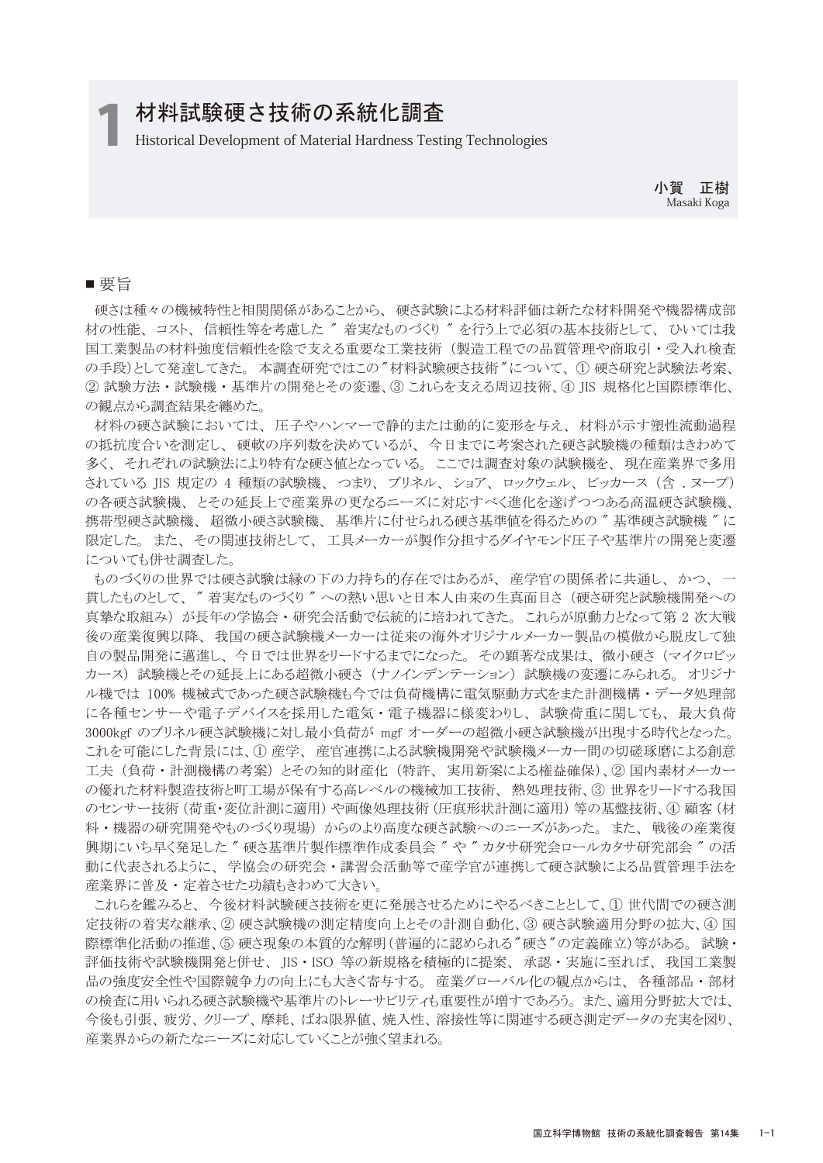## 材料試験硬さ技術の系統化調査

1 Historical Development of Material Hardness Testing Technologies

小賀 正樹 Masaki Koga

#### ■ 要旨

 硬さは種々の機械特性と相関関係があることから、 硬さ試験による材料評価は新たな材料開発や機器構成部 材の性能、 コスト、 信頼性等を考慮した " 着実なものづくり " を行う上で必須の基本技術として、 ひいては我 国工業製品の材料強度信頼性を陰で支える重要な工業技術(製造工程での品質管理や商取引・受入れ検査 の手段)として発達してきた。本調査研究ではこの"材料試験硬さ技術"について、① 硬さ研究と試験法考案、 ② 試験方法 ・ 試験機 ・ 基準片の開発とその変遷、③ これらを支える周辺技術、④ JIS 規格化と国際標準化、 の観点から調査結果を纏めた。

 材料の硬さ試験においては、 圧子やハンマーで静的または動的に変形を与え、 材料が示す塑性流動過程 の抵抗度合いを測定し、 硬軟の序列数を決めているが、 今日までに考案された硬さ試験機の種類はきわめて 多く、 それぞれの試験法により特有な硬さ値となっている。 ここでは調査対象の試験機を、 現在産業界で多用 されている JIS 規定の 4 種類の試験機、 つまり、 ブリネル、 ショア、 ロックウェル、 ビッカース (含 . ヌープ) の各硬さ試験機、 とその延長上で産業界の更なるニーズに対応すべく進化を遂げつつある高温硬さ試験機、 携帯型硬さ試験機、超微小硬さ試験機、基準片に付せられる硬さ基準値を得るための"基準硬さ試験機"に 限定した。 また、 その関連技術として、 工具メーカーが製作分担するダイヤモンド圧子や基準片の開発と変遷 についても併せ調査した。

 ものづくりの世界では硬さ試験は縁の下の力持ち的存在ではあるが、 産学官の関係者に共通し、 かつ、 一 貫したものとして、 " 着実なものづくり " への熱い思いと日本人由来の生真面目さ (硬さ研究と試験機開発への 真摯な取組み) が長年の学協会 ・ 研究会活動で伝統的に培われてきた。 これらが原動力となって第 2 次大戦 後の産業復興以降、 我国の硬さ試験機メーカーは従来の海外オリジナルメーカー製品の模倣から脱皮して独 自の製品開発に邁進し、 今日では世界をリードするまでになった。 その顕著な成果は、 微小硬さ (マイクロビッ カース) 試験機とその延長上にある超微小硬さ (ナノインデンテーション) 試験機の変遷にみられる。 オリジナ ル機では 100% 機械式であった硬さ試験機も今では負荷機構に電気駆動方式をまた計測機構・データ処理部 に各種センサーや電子デバイスを採用した電気 ・ 電子機器に様変わりし、 試験荷重に関しても、 最大負荷 3000kgf のブリネル硬さ試験機に対し最小負荷が mgf オーダーの超微小硬さ試験機が出現する時代となった。 これを可能にした背景には、① 産学、 産官連携による試験機開発や試験機メーカー間の切磋琢磨による創意 工夫 (負荷 ・ 計測機構の考案) とその知的財産化 (特許、 実用新案による権益確保)、② 国内素材メーカー の優れた材料製造技術と町工場が保有する高レベルの機械加工技術、 熱処理技術、③ 世界をリードする我国 のセンサー技術 (荷重・変位計測に適用) や画像処理技術 (圧痕形状計測に適用) 等の基盤技術、④ 顧客 (材 料 ・ 機器の研究開発やものづくり現場) からのより高度な硬さ試験へのニーズがあった。 また、 戦後の産業復 興期にいち早く発足した " 硬さ基準片製作標準作成委員会 " や " カタサ研究会ロールカタサ研究部会 " の活 動に代表されるように、 学協会の研究会 ・ 講習会活動等で産学官が連携して硬さ試験による品質管理手法を 産業界に普及 ・ 定着させた功績もきわめて大きい。

 これらを鑑みると、 今後材料試験硬さ技術を更に発展させるためにやるべきこととして、① 世代間での硬さ測 定技術の着実な継承、② 硬さ試験機の測定精度向上とその計測自動化、③ 硬さ試験適用分野の拡大、④ 国 際標準化活動の推進、5 硬さ現象の本質的な解明(普遍的に認められる"硬さ"の定義確立)等がある。 試験· 評価技術や試験機開発と併せ、 JIS ・ ISO 等の新規格を積極的に提案、 承認 ・ 実施に至れば、 我国工業製 品の強度安全性や国際競争力の向上にも大きく寄与する。 産業グローバル化の観点からは、各種部品・部材 の検査に用いられる硬さ試験機や基準片のトレーサビリティも重要性が増すであろう。 また、適用分野拡大では、 今後も引張、 疲労、 クリープ、 摩耗、 ばね限界値、 焼入性、 溶接性等に関連する硬さ測定データの充実を図り、 産業界からの新たなニーズに対応していくことが強く望まれる。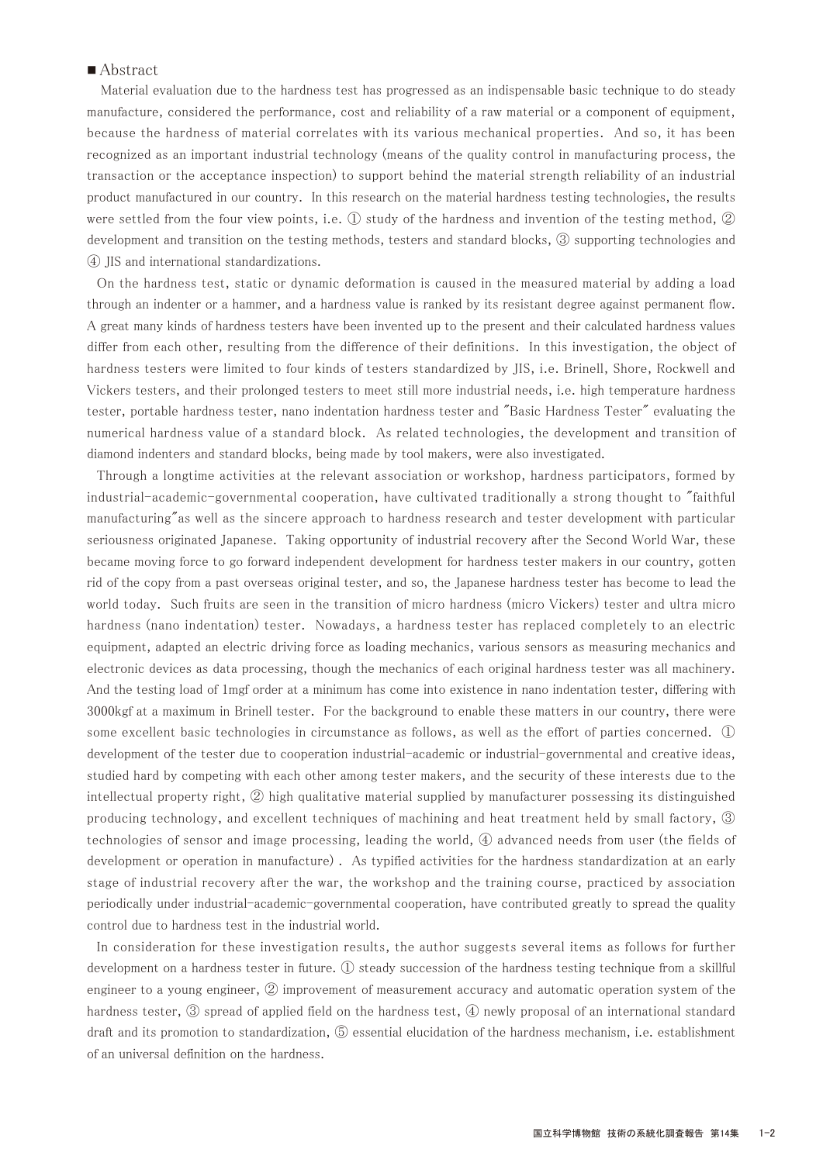## ■ Abstract

Material evaluation due to the hardness test has progressed as an indispensable basic technique to do steady manufacture, considered the performance, cost and reliability of a raw material or a component of equipment, because the hardness of material correlates with its various mechanical properties. And so, it has been recognized as an important industrial technology (means of the quality control in manufacturing process, the transaction or the acceptance inspection) to support behind the material strength reliability of an industrial product manufactured in our country. In this research on the material hardness testing technologies, the results were settled from the four view points, i.e. ① study of the hardness and invention of the testing method, ② development and transition on the testing methods, testers and standard blocks, ③ supporting technologies and ④ JIS and international standardizations.

 On the hardness test, static or dynamic deformation is caused in the measured material by adding a load through an indenter or a hammer, and a hardness value is ranked by its resistant degree against permanent flow. A great many kinds of hardness testers have been invented up to the present and their calculated hardness values differ from each other, resulting from the difference of their definitions. In this investigation, the object of hardness testers were limited to four kinds of testers standardized by JIS, i.e. Brinell, Shore, Rockwell and Vickers testers, and their prolonged testers to meet still more industrial needs, i.e. high temperature hardness tester, portable hardness tester, nano indentation hardness tester and "Basic Hardness Tester" evaluating the numerical hardness value of a standard block. As related technologies, the development and transition of diamond indenters and standard blocks, being made by tool makers, were also investigated.

 Through a longtime activities at the relevant association or workshop, hardness participators, formed by industrial-academic-governmental cooperation, have cultivated traditionally a strong thought to "faithful manufacturing"as well as the sincere approach to hardness research and tester development with particular seriousness originated Japanese. Taking opportunity of industrial recovery after the Second World War, these became moving force to go forward independent development for hardness tester makers in our country, gotten rid of the copy from a past overseas original tester, and so, the Japanese hardness tester has become to lead the world today. Such fruits are seen in the transition of micro hardness (micro Vickers) tester and ultra micro hardness (nano indentation) tester. Nowadays, a hardness tester has replaced completely to an electric equipment, adapted an electric driving force as loading mechanics, various sensors as measuring mechanics and electronic devices as data processing, though the mechanics of each original hardness tester was all machinery. And the testing load of 1mgf order at a minimum has come into existence in nano indentation tester, differing with 3000kgf at a maximum in Brinell tester. For the background to enable these matters in our country, there were some excellent basic technologies in circumstance as follows, as well as the effort of parties concerned. ① development of the tester due to cooperation industrial-academic or industrial-governmental and creative ideas, studied hard by competing with each other among tester makers, and the security of these interests due to the intellectual property right, ② high qualitative material supplied by manufacturer possessing its distinguished producing technology, and excellent techniques of machining and heat treatment held by small factory, ③ technologies of sensor and image processing, leading the world, ④ advanced needs from user (the fields of development or operation in manufacture) . As typified activities for the hardness standardization at an early stage of industrial recovery after the war, the workshop and the training course, practiced by association periodically under industrial-academic-governmental cooperation, have contributed greatly to spread the quality control due to hardness test in the industrial world.

 In consideration for these investigation results, the author suggests several items as follows for further development on a hardness tester in future. ① steady succession of the hardness testing technique from a skillful engineer to a young engineer, ② improvement of measurement accuracy and automatic operation system of the hardness tester, 3 spread of applied field on the hardness test, 4 newly proposal of an international standard draft and its promotion to standardization, ⑤ essential elucidation of the hardness mechanism, i.e. establishment of an universal definition on the hardness.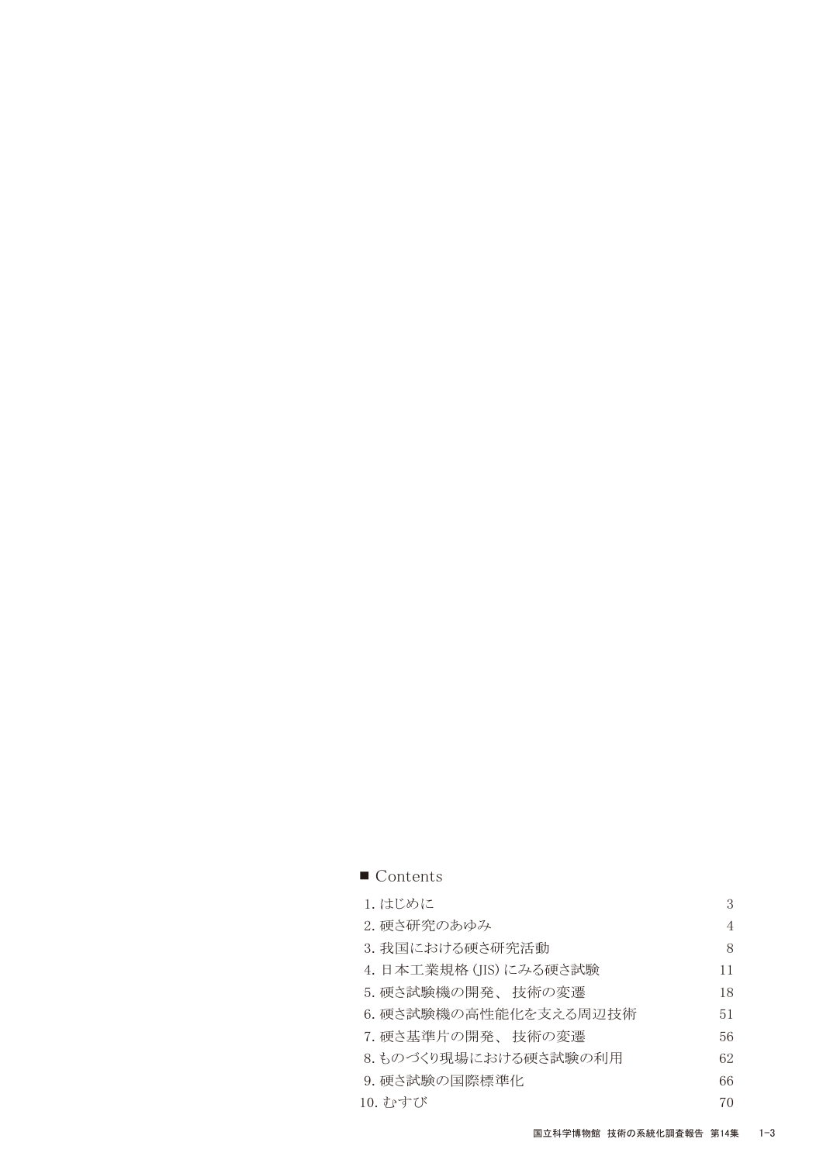| $\blacksquare$ Contents |                |
|-------------------------|----------------|
| 1. はじめに                 | 3              |
| 2. 硬さ研究のあゆみ             | $\overline{4}$ |
| 3. 我国における硬さ研究活動         | 8              |
| 4. 日本工業規格 (JIS) にみる硬さ試験 | 11             |
| 5.硬さ試験機の開発、 技術の変遷       | 18             |
| 6. 硬さ試験機の高性能化を支える周辺技術   | 51             |
| 7.硬さ基準片の開発、 技術の変遷       | 56             |
| 8.ものづくり現場における硬さ試験の利用    | 62             |
| 9. 硬さ試験の国際標準化           | 66             |
| 10. すゃすてド               | 70             |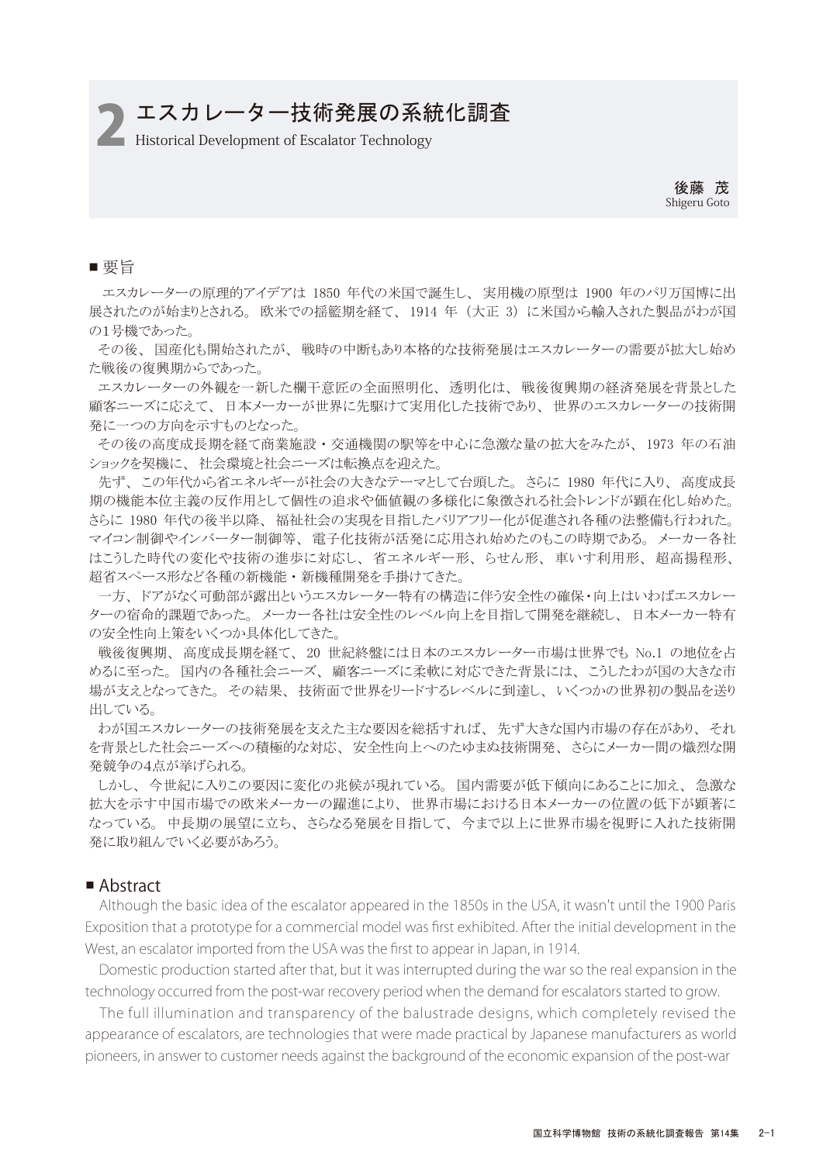# エスカレーター技術発展の系統化調査

**Historical Development of Escalator Technology** 

後藤 茂 Shigeru Goto

## ■ 要旨

エスカレーターの原理的アイデアは 1850 年代の米国で誕生し、 実用機の原型は 1900 年のパリ万国博に出 展されたのが始まりとされる。 欧米での揺籃期を経て、 1914 年 (大正 3) に米国から輸入された製品がわが国 の1号機であった。

 その後、 国産化も開始されたが、 戦時の中断もあり本格的な技術発展はエスカレーターの需要が拡大し始め た戦後の復興期からであった。

 エスカレーターの外観を一新した欄干意匠の全面照明化、 透明化は、 戦後復興期の経済発展を背景とした 顧客ニーズに応えて、 日本メーカーが世界に先駆けて実用化した技術であり、 世界のエスカレーターの技術開 発に一つの方向を示すものとなった。

 その後の高度成長期を経て商業施設 ・ 交通機関の駅等を中心に急激な量の拡大をみたが、 1973 年の石油 ショックを契機に、 社会環境と社会ニーズは転換点を迎えた。

 先ず、 この年代から省エネルギーが社会の大きなテーマとして台頭した。 さらに 1980 年代に入り、 高度成長 期の機能本位主義の反作用として個性の追求や価値観の多様化に象徴される社会トレンドが顕在化し始めた。 さらに 1980 年代の後半以降、 福祉社会の実現を目指したバリアフリー化が促進され各種の法整備も行われた。 マイコン制御やインバーター制御等、 電子化技術が活発に応用され始めたのもこの時期である。 メーカー各社 はこうした時代の変化や技術の進歩に対応し、 省エネルギー形、 らせん形、 車いす利用形、 超高揚程形、 超省スペース形など各種の新機能 ・ 新機種開発を手掛けてきた。

 一方、 ドアがなく可動部が露出というエスカレーター特有の構造に伴う安全性の確保・向上はいわばエスカレー ターの宿命的課題であった。 メーカー各社は安全性のレベル向上を目指して開発を継続し、 日本メーカー特有 の安全性向上策をいくつか具体化してきた。

 戦後復興期、 高度成長期を経て、 20 世紀終盤には日本のエスカレーター市場は世界でも No.1 の地位を占 めるに至った。 国内の各種社会ニーズ、 顧客ニーズに柔軟に対応できた背景には、 こうしたわが国の大きな市 場が支えとなってきた。 その結果、 技術面で世界をリードするレベルに到達し、 いくつかの世界初の製品を送り 出している。

 わが国エスカレーターの技術発展を支えた主な要因を総括すれば、 先ず大きな国内市場の存在があり、 それ を背景とした社会ニーズへの積極的な対応、 安全性向上へのたゆまぬ技術開発、 さらにメーカー間の熾烈な開 発競争の4点が挙げられる。

 しかし、 今世紀に入りこの要因に変化の兆候が現れている。 国内需要が低下傾向にあることに加え、 急激な 拡大を示す中国市場での欧米メーカーの躍進により、 世界市場における日本メーカーの位置の低下が顕著に なっている。 中長期の展望に立ち、 さらなる発展を目指して、 今まで以上に世界市場を視野に入れた技術開 発に取り組んでいく必要があろう。

## ■ Abstract

 Although the basic idea of the escalator appeared in the 1850s in the USA, it wasn't until the 1900 Paris Exposition that a prototype for a commercial model was first exhibited. After the initial development in the West, an escalator imported from the USA was the first to appear in Japan, in 1914.

 technology occurred from the post-war recovery period when the demand for escalators started to grow. Domestic production started after that, but it was interrupted during the war so the real expansion in the

 The full illumination and transparency of the balustrade designs, which completely revised the appearance of escalators, are technologies that were made practical by Japanese manufacturers as world pioneers, in answer to customer needs against the background of the economic expansion of the post-war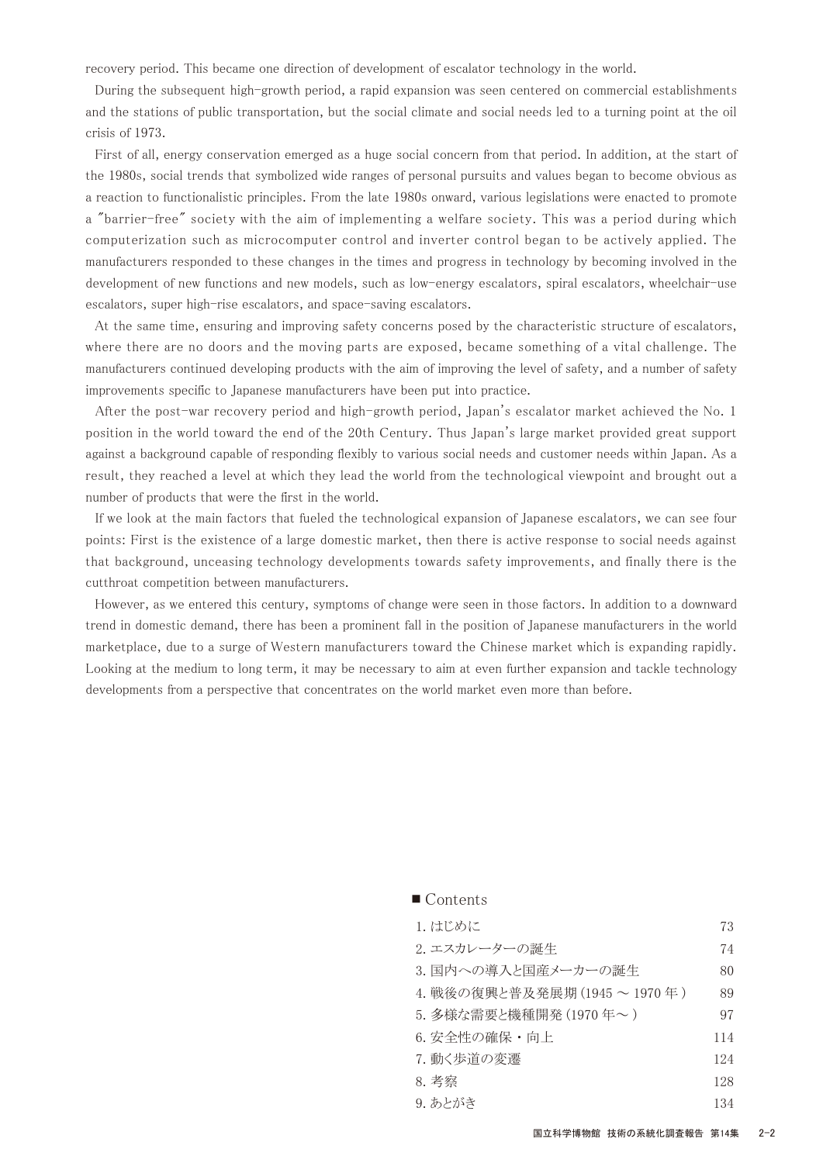recovery period. This became one direction of development of escalator technology in the world.

 During the subsequent high-growth period, a rapid expansion was seen centered on commercial establishments and the stations of public transportation, but the social climate and social needs led to a turning point at the oil crisis of 1973.

 First of all, energy conservation emerged as a huge social concern from that period. In addition, at the start of the 1980s, social trends that symbolized wide ranges of personal pursuits and values began to become obvious as a reaction to functionalistic principles. From the late 1980s onward, various legislations were enacted to promote a "barrier-free" society with the aim of implementing a welfare society. This was a period during which computerization such as microcomputer control and inverter control began to be actively applied. The manufacturers responded to these changes in the times and progress in technology by becoming involved in the development of new functions and new models, such as low-energy escalators, spiral escalators, wheelchair-use escalators, super high-rise escalators, and space-saving escalators.

 At the same time, ensuring and improving safety concerns posed by the characteristic structure of escalators, where there are no doors and the moving parts are exposed, became something of a vital challenge. The manufacturers continued developing products with the aim of improving the level of safety, and a number of safety improvements specific to Japanese manufacturers have been put into practice.

 After the post-war recovery period and high-growth period, Japan's escalator market achieved the No. 1 position in the world toward the end of the 20th Century. Thus Japan's large market provided great support against a background capable of responding flexibly to various social needs and customer needs within Japan. As a result, they reached a level at which they lead the world from the technological viewpoint and brought out a number of products that were the first in the world.

 If we look at the main factors that fueled the technological expansion of Japanese escalators, we can see four points: First is the existence of a large domestic market, then there is active response to social needs against that background, unceasing technology developments towards safety improvements, and finally there is the cutthroat competition between manufacturers.

 However, as we entered this century, symptoms of change were seen in those factors. In addition to a downward trend in domestic demand, there has been a prominent fall in the position of Japanese manufacturers in the world marketplace, due to a surge of Western manufacturers toward the Chinese market which is expanding rapidly. Looking at the medium to long term, it may be necessary to aim at even further expansion and tackle technology developments from a perspective that concentrates on the world market even more than before.

| 1. はじめに                     | 73  |
|-----------------------------|-----|
| 2. エスカレーターの誕生               | 74  |
| 3. 国内への導入と国産メーカーの誕生         | 80  |
| 4. 戦後の復興と普及発展期 (1945~1970年) | 89  |
| 5. 多様な需要と機種開発 (1970年~)      | 97  |
| 6. 安全性の確保・向上                | 114 |
| 7. 動く歩道の変遷                  | 124 |
| 8. 考察                       | 128 |
| 9. あとがき                     | 134 |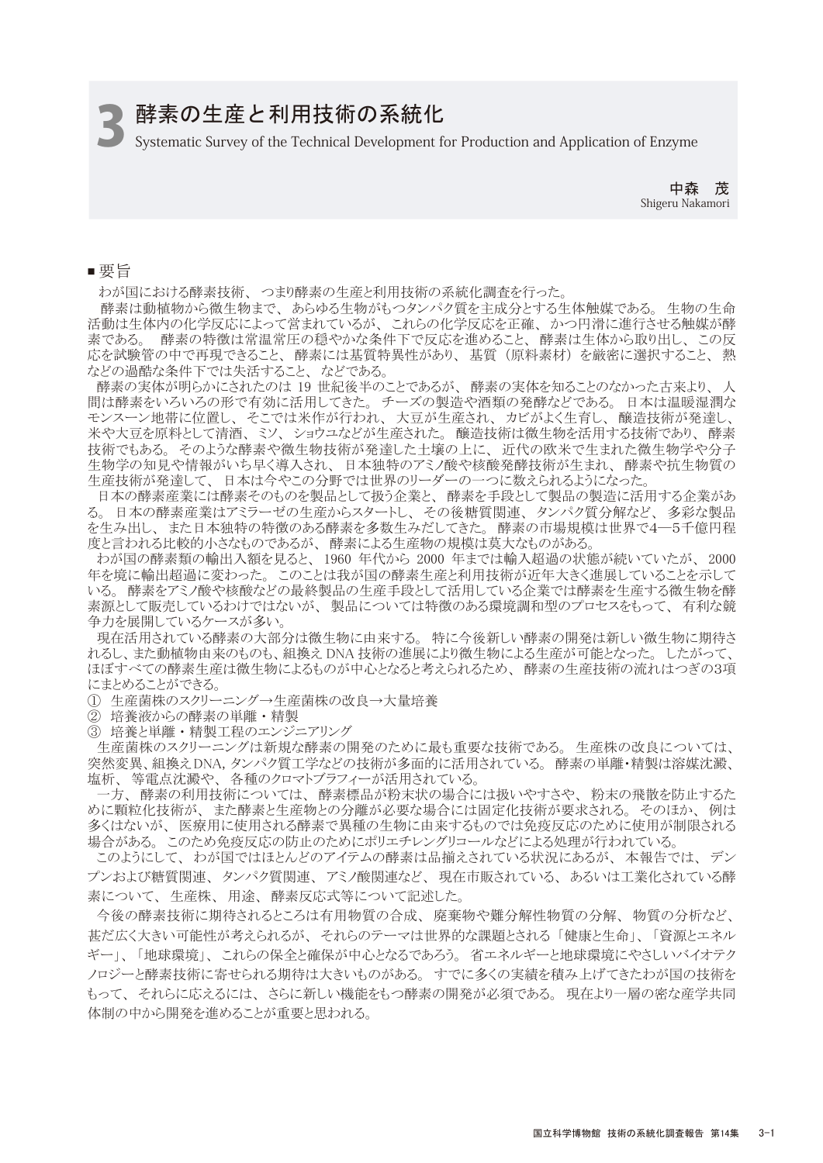# 酵素の生産と利用技術の系統化

3Systematic Survey of the Technical Development for Production and Application of Enzyme

中森 茂 Shigeru Nakamori

■ 要旨

わが国における酵素技術、 つまり酵素の生産と利用技術の系統化調査を行った。

 酵素は動植物から微生物まで、 あらゆる生物がもつタンパク質を主成分とする生体触媒である。 生物の生命 活動は生体内の化学反応によって営まれているが、 これらの化学反応を正確、 かつ円滑に進行させる触媒が酵 素である。 酵素の特徴は常温常圧の穏やかな条件下で反応を進めること、 酵素は生体から取り出し、 この反 応を試験管の中で再現できること、 酵素には基質特異性があり、 基質 (原料素材) を厳密に選択すること、 熱 などの過酷な条件下では失活すること、 などである。

 酵素の実体が明らかにされたのは 19 世紀後半のことであるが、 酵素の実体を知ることのなかった古来より、 人 間は酵素をいろいろの形で有効に活用してきた。 チーズの製造や酒類の発酵などである。 日本は温暖湿潤な モンスーン地帯に位置し、 そこでは米作が行われ、 大豆が生産され、 カビがよく生育し、 醸造技術が発達し、 米や大豆を原料として清酒、 ミソ、 ショウユなどが生産された。 醸造技術は微生物を活用する技術であり、 酵素 技術でもある。 そのような酵素や微生物技術が発達した土壌の上に、 近代の欧米で生まれた微生物学や分子 生物学の知見や情報がいち早く導入され、 日本独特のアミノ酸や核酸発酵技術が生まれ、 酵素や抗生物質の 生産技術が発達して、 日本は今やこの分野では世界のリーダーの一つに数えられるようになった。

 日本の酵素産業には酵素そのものを製品として扱う企業と、 酵素を手段として製品の製造に活用する企業があ る。 日本の酵素産業はアミラーゼの生産からスタートし、 その後糖質関連、 タンパク質分解など、 多彩な製品 を生み出し、 また日本独特の特徴のある酵素を多数生みだしてきた。 酵素の市場規模は世界で4―5千億円程 度と言われる比較的小さなものであるが、 酵素による生産物の規模は莫大なものがある。

 わが国の酵素類の輸出入額を見ると、 1960 年代から 2000 年までは輸入超過の状態が続いていたが、 2000 年を境に輸出超過に変わった。 このことは我が国の酵素生産と利用技術が近年大きく進展していることを示して いる。 酵素をアミノ酸や核酸などの最終製品の生産手段として活用している企業では酵素を生産する微生物を酵 素源として販売しているわけではないが、 製品については特徴のある環境調和型のプロセスをもって、 有利な競 争力を展開しているケースが多い。

 現在活用されている酵素の大部分は微生物に由来する。 特に今後新しい酵素の開発は新しい微生物に期待さ れるし、また動植物由来のものも、組換え DNA 技術の進展により微生物による生産が可能となった。 したがって、 ほぼすべての酵素生産は微生物によるものが中心となると考えられるため、 酵素の生産技術の流れはつぎの3項 にまとめることができる。

① 生産菌株のスクリーニング→生産菌株の改良→大量培養

② 培養液からの酵素の単離 ・ 精製

③ 培養と単離 ・ 精製工程のエンジニアリング

 生産菌株のスクリーニングは新規な酵素の開発のために最も重要な技術である。 生産株の改良については、 突然変異、組換えDNA,タンパク質工学などの技術が多面的に活用されている。 酵素の単離・精製は溶媒沈澱、 塩析、 等電点沈澱や、 各種のクロマトブラフィーが活用されている。

 一方、 酵素の利用技術については、 酵素標品が粉末状の場合には扱いやすさや、 粉末の飛散を防止するた めに顆粒化技術が、 また酵素と生産物との分離が必要な場合には固定化技術が要求される。 そのほか、 例は 多くはないが、 医療用に使用される酵素で異種の生物に由来するものでは免疫反応のために使用が制限される 場合がある。 このため免疫反応の防止のためにポリエチレングリコールなどによる処理が行われている。

 このようにして、 わが国ではほとんどのアイテムの酵素は品揃えされている状況にあるが、 本報告では、 デン プンおよび糖質関連、 タンパク質関連、 アミノ酸関連など、 現在市販されている、 あるいは工業化されている酵 素について、 生産株、 用途、 酵素反応式等について記述した。

 今後の酵素技術に期待されるところは有用物質の合成、 廃棄物や難分解性物質の分解、 物質の分析など、 甚だ広く大きい可能性が考えられるが、 それらのテーマは世界的な課題とされる 「健康と生命」、 「資源とエネル ギー」、 「地球環境」、 これらの保全と確保が中心となるであろう。 省エネルギーと地球環境にやさしいバイオテク ノロジーと酵素技術に寄せられる期待は大きいものがある。 すでに多くの実績を積み上げてきたわが国の技術を もって、 それらに応えるには、 さらに新しい機能をもつ酵素の開発が必須である。 現在より一層の密な産学共同 体制の中から開発を進めることが重要と思われる。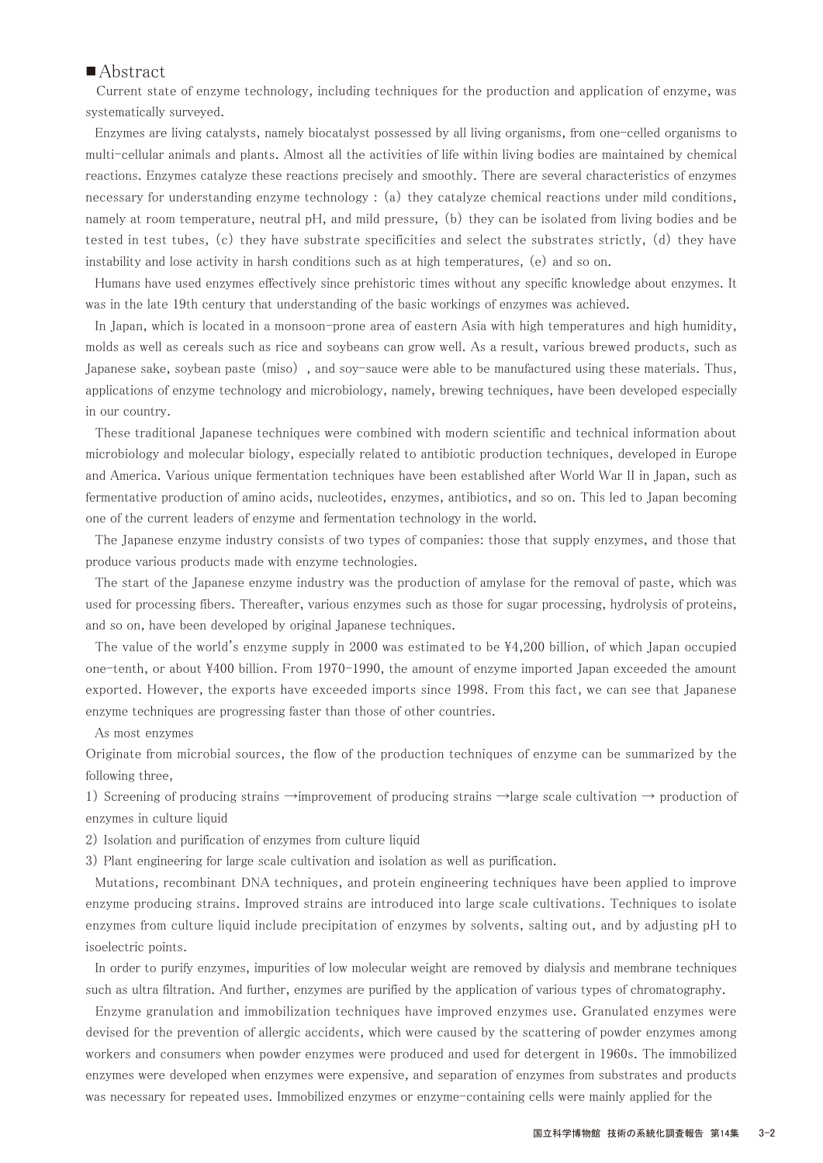## ■ Abstract

Current state of enzyme technology, including techniques for the production and application of enzyme, was systematically surveyed.

 Enzymes are living catalysts, namely biocatalyst possessed by all living organisms, from one-celled organisms to multi-cellular animals and plants. Almost all the activities of life within living bodies are maintained by chemical reactions. Enzymes catalyze these reactions precisely and smoothly. There are several characteristics of enzymes necessary for understanding enzyme technology : (a) they catalyze chemical reactions under mild conditions, namely at room temperature, neutral pH, and mild pressure, (b) they can be isolated from living bodies and be tested in test tubes, (c) they have substrate specificities and select the substrates strictly, (d) they have instability and lose activity in harsh conditions such as at high temperatures, (e) and so on.

 Humans have used enzymes effectively since prehistoric times without any specific knowledge about enzymes. It was in the late 19th century that understanding of the basic workings of enzymes was achieved.

 In Japan, which is located in a monsoon-prone area of eastern Asia with high temperatures and high humidity, molds as well as cereals such as rice and soybeans can grow well. As a result, various brewed products, such as Japanese sake, soybean paste (miso) , and soy-sauce were able to be manufactured using these materials. Thus, applications of enzyme technology and microbiology, namely, brewing techniques, have been developed especially in our country.

 These traditional Japanese techniques were combined with modern scientific and technical information about microbiology and molecular biology, especially related to antibiotic production techniques, developed in Europe and America. Various unique fermentation techniques have been established after World War II in Japan, such as fermentative production of amino acids, nucleotides, enzymes, antibiotics, and so on. This led to Japan becoming one of the current leaders of enzyme and fermentation technology in the world.

 The Japanese enzyme industry consists of two types of companies: those that supply enzymes, and those that produce various products made with enzyme technologies.

 The start of the Japanese enzyme industry was the production of amylase for the removal of paste, which was used for processing fibers. Thereafter, various enzymes such as those for sugar processing, hydrolysis of proteins, and so on, have been developed by original Japanese techniques.

The value of the world's enzyme supply in 2000 was estimated to be \44,200 billion, of which Japan occupied one-tenth, or about \400 billion. From 1970-1990, the amount of enzyme imported Japan exceeded the amount exported. However, the exports have exceeded imports since 1998. From this fact, we can see that Japanese enzyme techniques are progressing faster than those of other countries.

As most enzymes

Originate from microbial sources, the flow of the production techniques of enzyme can be summarized by the following three,

1) Screening of producing strains →improvement of producing strains →large scale cultivation → production of enzymes in culture liquid

- 2) Isolation and purification of enzymes from culture liquid
- 3) Plant engineering for large scale cultivation and isolation as well as purification.

 Mutations, recombinant DNA techniques, and protein engineering techniques have been applied to improve enzyme producing strains. Improved strains are introduced into large scale cultivations. Techniques to isolate enzymes from culture liquid include precipitation of enzymes by solvents, salting out, and by adjusting pH to isoelectric points.

 In order to purify enzymes, impurities of low molecular weight are removed by dialysis and membrane techniques such as ultra filtration. And further, enzymes are purified by the application of various types of chromatography.

 Enzyme granulation and immobilization techniques have improved enzymes use. Granulated enzymes were devised for the prevention of allergic accidents, which were caused by the scattering of powder enzymes among workers and consumers when powder enzymes were produced and used for detergent in 1960s. The immobilized enzymes were developed when enzymes were expensive, and separation of enzymes from substrates and products was necessary for repeated uses. Immobilized enzymes or enzyme-containing cells were mainly applied for the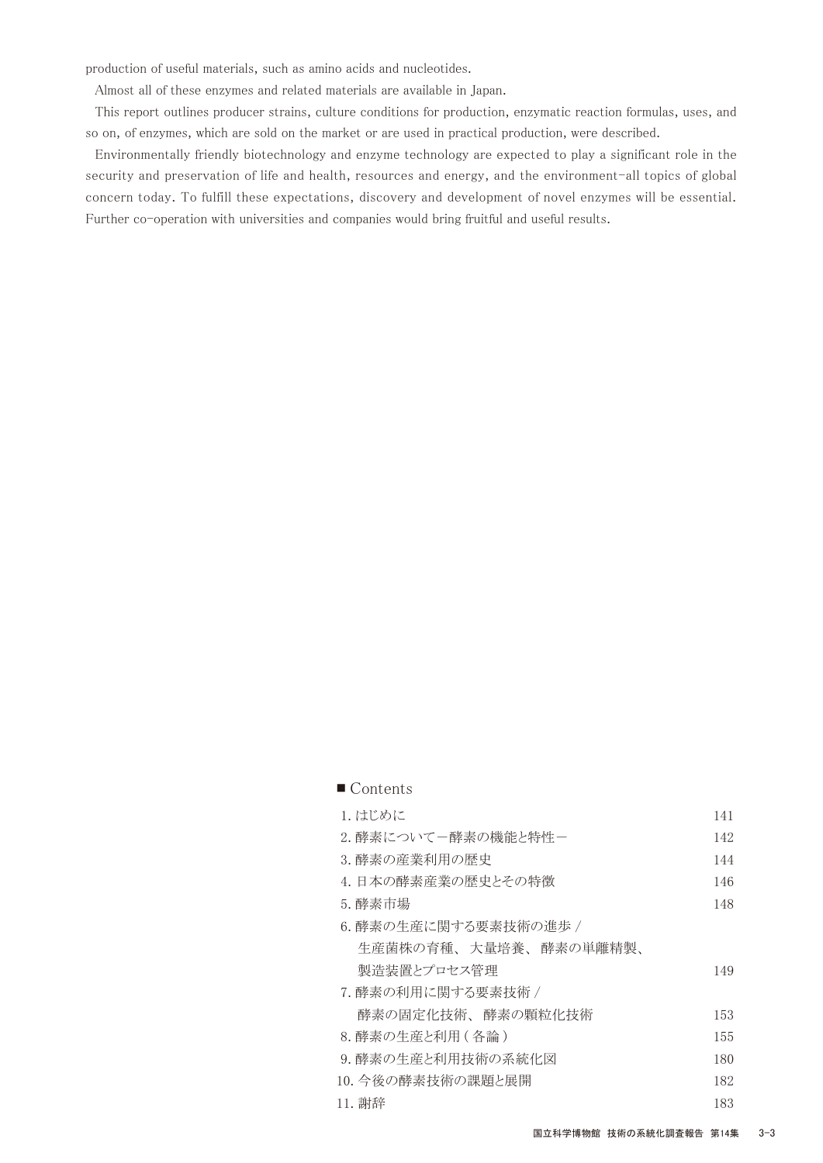production of useful materials, such as amino acids and nucleotides.

Almost all of these enzymes and related materials are available in Japan.

 This report outlines producer strains, culture conditions for production, enzymatic reaction formulas, uses, and so on, of enzymes, which are sold on the market or are used in practical production, were described.

 Environmentally friendly biotechnology and enzyme technology are expected to play a significant role in the security and preservation of life and health, resources and energy, and the environment-all topics of global concern today. To fulfill these expectations, discovery and development of novel enzymes will be essential. Further co-operation with universities and companies would bring fruitful and useful results.

| 1. はじめに               | 141 |
|-----------------------|-----|
| 2. 酵素についてー酵素の機能と特性ー   | 142 |
| 3. 酵素の産業利用の歴史         | 144 |
| 4. 日本の酵素産業の歴史とその特徴    | 146 |
| 5. 酵素市場               | 148 |
| 6.酵素の生産に関する要素技術の進歩 /  |     |
| 生産菌株の育種、大量培養、酵素の単離精製、 |     |
| 製浩装置とプロセス管理           | 149 |
| 7. 酵素の利用に関する要素技術 /    |     |
| 酵素の固定化技術、 酵素の顆粒化技術    | 153 |
| 8. 酵素の生産と利用(各論)       | 155 |
| 9. 酵素の生産と利用技術の系統化図    | 180 |
| 10. 今後の酵素技術の課題と展開     | 182 |
| 11. 謝辞                | 183 |
|                       |     |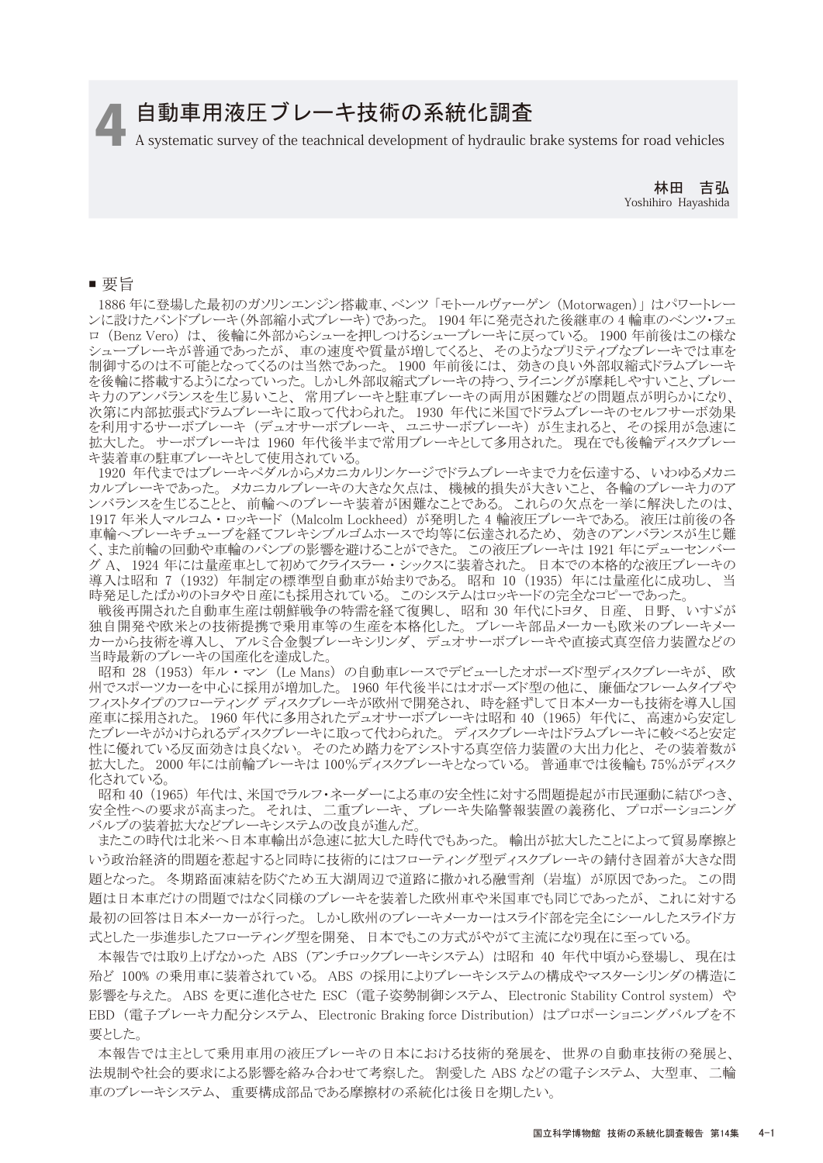# 自動車用液圧ブレーキ技術の系統化調査

4 A systematic survey of the teachnical development of hydraulic brake systems for road vehicles

林田 吉弘 Yoshihiro Hayashida

#### ■ 要旨

 1886 年に登場した最初のガソリンエンジン搭載車、ベンツ 「モトールヴァーゲン (Motorwagen)」 はパワートレー ンに設けたバンドブレーキ(外部縮小式ブレーキ)であった。 1904 年に発売された後継車の 4 輪車のベンツ・フェ ロ (Benz Vero) は、 後輪に外部からシューを押しつけるシューブレーキに戻っている。 1900 年前後はこの様な シューブレーキが普通であったが、 車の速度や質量が増してくると、 そのようなプリミティブなブレーキでは車を 制御するのは不可能となってくるのは当然であった。 1900 年前後には、 効きの良い外部収縮式ドラムブレーキ を後輪に搭載するようになっていった。 しかし外部収縮式ブレーキの持つ、ライニングが摩耗しやすいこと、ブレー キ力のアンバランスを生じ易いこと、 常用ブレーキと駐車ブレーキの両用が困難などの問題点が明らかになり、 次第に内部拡張式ドラムブレーキに取って代わられた。 1930 年代に米国でドラムブレーキのセルフサーボ効果 を利用するサーボブレーキ (デュオサーボブレーキ、 ユニサーボブレーキ) が生まれると、 その採用が急速に 拡大した。 サーボブレーキは 1960 年代後半まで常用ブレーキとして多用された。 現在でも後輪ディスクブレー キ装着車の駐車ブレーキとして使用されている。

 1920 年代まではブレーキペダルからメカニカルリンケージでドラムブレーキまで力を伝達する、 いわゆるメカニ カルブレーキであった。 メカニカルブレーキの大きな欠点は、 機械的損失が大きいこと、 各輪のブレーキ力のア ンバランスを生じることと、 前輪へのブレーキ装着が困難なことである。 これらの欠点を一挙に解決したのは、 1917 年米人マルコム ・ ロッキード (Malcolm Lockheed) が発明した 4 輪液圧ブレーキである。 液圧は前後の各 車輪へブレーキチューブを経てフレキシブルゴムホースで均等に伝達されるため、 効きのアンバランスが生じ難 く、また前輪の回動や車輪のバンプの影響を避けることができた。 この液圧ブレーキは 1921 年にデューセンバー グ A、1924 年には量産車として初めてクライスラー・シックスに装着された。 日本での本格的な液圧ブレーキの 導入は昭和 7 (1932) 年制定の標準型自動車が始まりである。 昭和 10 (1935) 年には量産化に成功し、 当 時発足したばかりのトヨタや日産にも採用されている。 このシステムはロッキードの完全なコピーであった。

戦後再開された自動車生産は朝鮮戦争の特需を経て復興し、昭和 30 年代にトヨタ、日産、日野、いすゞが 独自開発や欧米との技術提携で乗用車等の生産を本格化した。 ブレーキ部品メーカーも欧米のブレーキメー カーから技術を導入し、 アルミ合金製ブレーキシリンダ、 デュオサーボブレーキや直接式真空倍力装置などの 当時最新のブレーキの国産化を達成した。

昭和 28 (1953) 年ル・マン (Le Mans) の自動車レースでデビューしたオポーズド型ディスクブレーキが、欧 州でスポーツカーを中心に採用が増加した。 1960 年代後半にはオポーズド型の他に、 廉価なフレームタイプや 。<br>フィストタイプのフローティング ディスクブレーキが欧州で開発され、 時を経ずして日本メーカーも技術を導入し国 産車に採用された。 1960 年代に多用されたデュオサーボブレーキは昭和 40 (1965) 年代に、 高速から安定し たブレーキがかけられるディスクブレーキに取って代わられた。 ディスクブレーキはドラムブレーキに較べると安定 性に優れている反面効きは良くない。 そのため踏力をアシストする真空倍力装置の大出力化と、 その装着数が 拡大した。 2000 年には前輪ブレーキは 100%ディスクブレーキとなっている。 普通車では後輪も 75%がディスク 化されている。

 昭和 40 (1965) 年代は、米国でラルフ・ネーダーによる車の安全性に対する問題提起が市民運動に結びつき、 安全性への要求が高まった。 それは、 二重ブレーキ、 ブレーキ失陥警報装置の義務化、 プロポーショニング バルブの装着拡大などブレーキシステムの改良が進んだ。

 またこの時代は北米へ日本車輸出が急速に拡大した時代でもあった。 輸出が拡大したことによって貿易摩擦と いう政治経済的問題を惹起すると同時に技術的にはフローティング型ディスクブレーキの錆付き固着が大きな問 題となった。 冬期路面凍結を防ぐため五大湖周辺で道路に撒かれる融雪剤 (岩塩) が原因であった。 この問 題は日本車だけの問題ではなく同様のブレーキを装着した欧州車や米国車でも同じであったが、 これに対する 最初の回答は日本メーカーが行った。 しかし欧州のブレーキメーカーはスライド部を完全にシールしたスライド方 式とした一歩進歩したフローティング型を開発、 日本でもこの方式がやがて主流になり現在に至っている。

 本報告では取り上げなかった ABS (アンチロックブレーキシステム) は昭和 40 年代中頃から登場し、 現在は 殆ど 100% の乗用車に装着されている。 ABS の採用によりブレーキシステムの構成やマスターシリンダの構造に 影響を与えた。 ABS を更に進化させた ESC (電子姿勢制御システム、 Electronic Stability Control system) や EBD (電子ブレーキ力配分システム、 Electronic Braking force Distribution) はプロポーショニングバルブを不 要とした。

 本報告では主として乗用車用の液圧ブレーキの日本における技術的発展を、 世界の自動車技術の発展と、 法規制や社会的要求による影響を絡み合わせて考察した。 割愛した ABS などの電子システム、 大型車、 二輪 車のブレーキシステム、 重要構成部品である摩擦材の系統化は後日を期したい。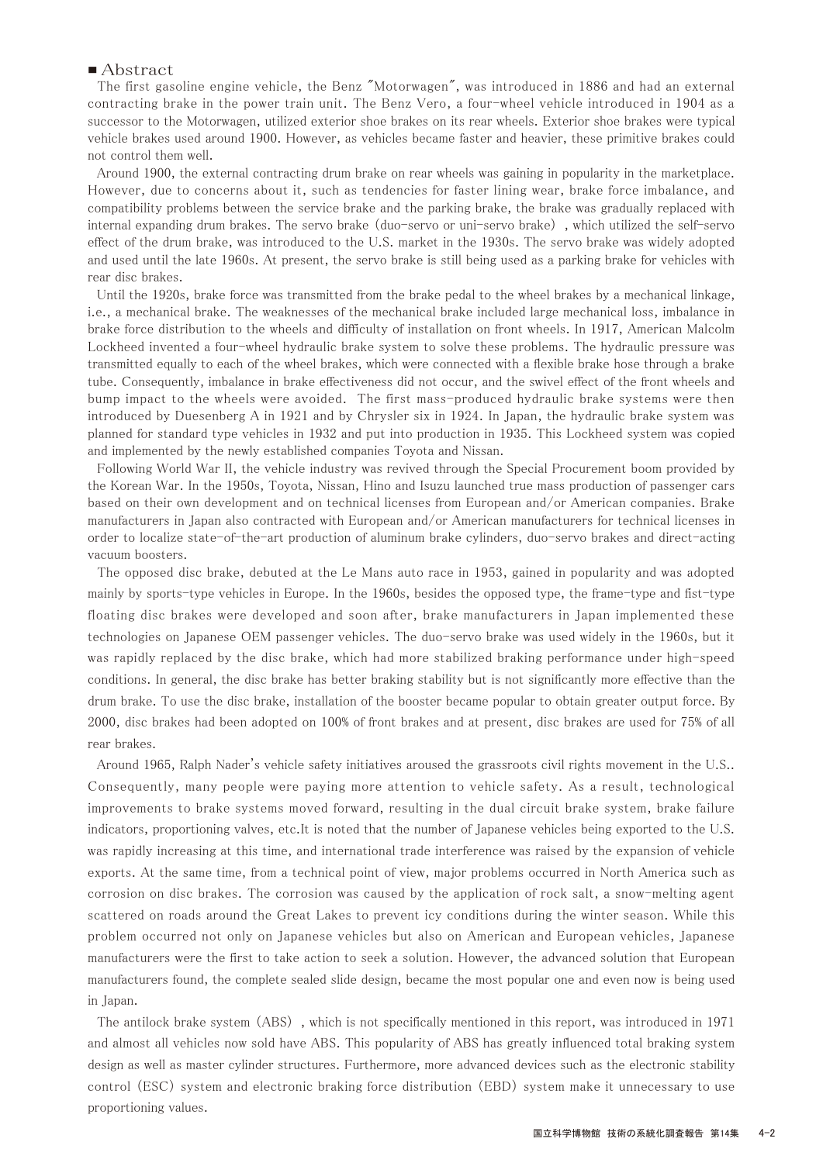#### ■ Abstract

 The first gasoline engine vehicle, the Benz "Motorwagen", was introduced in 1886 and had an external contracting brake in the power train unit. The Benz Vero, a four-wheel vehicle introduced in 1904 as a successor to the Motorwagen, utilized exterior shoe brakes on its rear wheels. Exterior shoe brakes were typical vehicle brakes used around 1900. However, as vehicles became faster and heavier, these primitive brakes could not control them well.

 Around 1900, the external contracting drum brake on rear wheels was gaining in popularity in the marketplace. However, due to concerns about it, such as tendencies for faster lining wear, brake force imbalance, and compatibility problems between the service brake and the parking brake, the brake was gradually replaced with internal expanding drum brakes. The servo brake (duo-servo or uni-servo brake) , which utilized the self-servo effect of the drum brake, was introduced to the U.S. market in the 1930s. The servo brake was widely adopted and used until the late 1960s. At present, the servo brake is still being used as a parking brake for vehicles with rear disc brakes.

 Until the 1920s, brake force was transmitted from the brake pedal to the wheel brakes by a mechanical linkage, i.e., a mechanical brake. The weaknesses of the mechanical brake included large mechanical loss, imbalance in brake force distribution to the wheels and difficulty of installation on front wheels. In 1917, American Malcolm Lockheed invented a four-wheel hydraulic brake system to solve these problems. The hydraulic pressure was transmitted equally to each of the wheel brakes, which were connected with a flexible brake hose through a brake tube. Consequently, imbalance in brake effectiveness did not occur, and the swivel effect of the front wheels and bump impact to the wheels were avoided. The first mass-produced hydraulic brake systems were then introduced by Duesenberg A in 1921 and by Chrysler six in 1924. In Japan, the hydraulic brake system was planned for standard type vehicles in 1932 and put into production in 1935. This Lockheed system was copied and implemented by the newly established companies Toyota and Nissan.

 Following World War II, the vehicle industry was revived through the Special Procurement boom provided by the Korean War. In the 1950s, Toyota, Nissan, Hino and Isuzu launched true mass production of passenger cars based on their own development and on technical licenses from European and/or American companies. Brake manufacturers in Japan also contracted with European and/or American manufacturers for technical licenses in order to localize state-of-the-art production of aluminum brake cylinders, duo-servo brakes and direct-acting vacuum boosters.

 The opposed disc brake, debuted at the Le Mans auto race in 1953, gained in popularity and was adopted mainly by sports-type vehicles in Europe. In the 1960s, besides the opposed type, the frame-type and fist-type floating disc brakes were developed and soon after, brake manufacturers in Japan implemented these technologies on Japanese OEM passenger vehicles. The duo-servo brake was used widely in the 1960s, but it was rapidly replaced by the disc brake, which had more stabilized braking performance under high-speed conditions. In general, the disc brake has better braking stability but is not significantly more effective than the drum brake. To use the disc brake, installation of the booster became popular to obtain greater output force. By 2000, disc brakes had been adopted on 100% of front brakes and at present, disc brakes are used for 75% of all rear brakes.

 Around 1965, Ralph Nader's vehicle safety initiatives aroused the grassroots civil rights movement in the U.S.. Consequently, many people were paying more attention to vehicle safety. As a result, technological improvements to brake systems moved forward, resulting in the dual circuit brake system, brake failure indicators, proportioning valves, etc.It is noted that the number of Japanese vehicles being exported to the U.S. was rapidly increasing at this time, and international trade interference was raised by the expansion of vehicle exports. At the same time, from a technical point of view, major problems occurred in North America such as corrosion on disc brakes. The corrosion was caused by the application of rock salt, a snow-melting agent scattered on roads around the Great Lakes to prevent icy conditions during the winter season. While this problem occurred not only on Japanese vehicles but also on American and European vehicles, Japanese manufacturers were the first to take action to seek a solution. However, the advanced solution that European manufacturers found, the complete sealed slide design, became the most popular one and even now is being used in Japan.

 The antilock brake system (ABS) , which is not specifically mentioned in this report, was introduced in 1971 and almost all vehicles now sold have ABS. This popularity of ABS has greatly influenced total braking system design as well as master cylinder structures. Furthermore, more advanced devices such as the electronic stability control (ESC) system and electronic braking force distribution (EBD) system make it unnecessary to use proportioning values.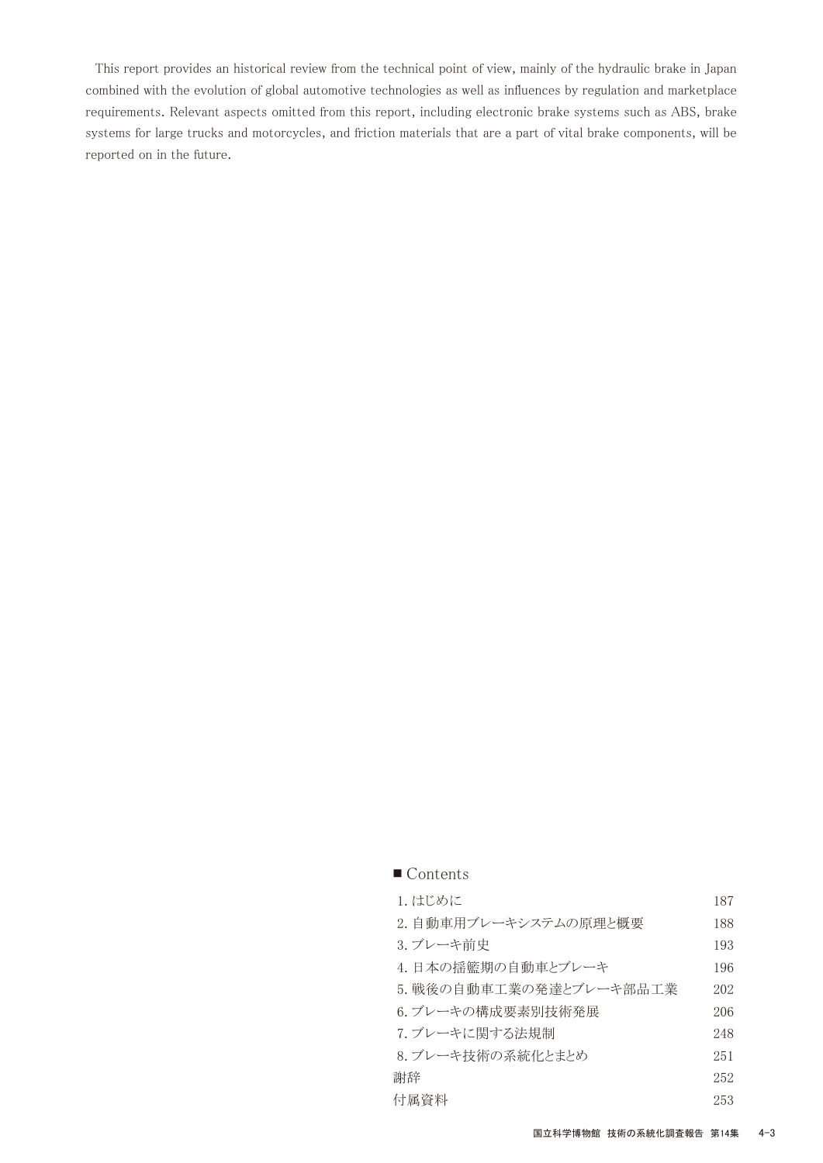This report provides an historical review from the technical point of view, mainly of the hydraulic brake in Japan combined with the evolution of global automotive technologies as well as influences by regulation and marketplace requirements. Relevant aspects omitted from this report, including electronic brake systems such as ABS, brake systems for large trucks and motorcycles, and friction materials that are a part of vital brake components, will be reported on in the future.

| 1. はじめに                 | 187 |
|-------------------------|-----|
| 2. 自動車用ブレーキシステムの原理と概要   | 188 |
| 3. ブレーキ前史               | 193 |
| 4.日本の揺籃期の自動車とブレーキ       | 196 |
| 5. 戦後の自動車工業の発達とブレーキ部品工業 | 202 |
| 6.ブレーキの構成要素別技術発展        | 206 |
| 7. ブレーキに関する法規制          | 248 |
| 8. ブレーキ技術の系統化とまとめ       | 251 |
| 謝辞                      | 252 |
| 付属資料                    | 253 |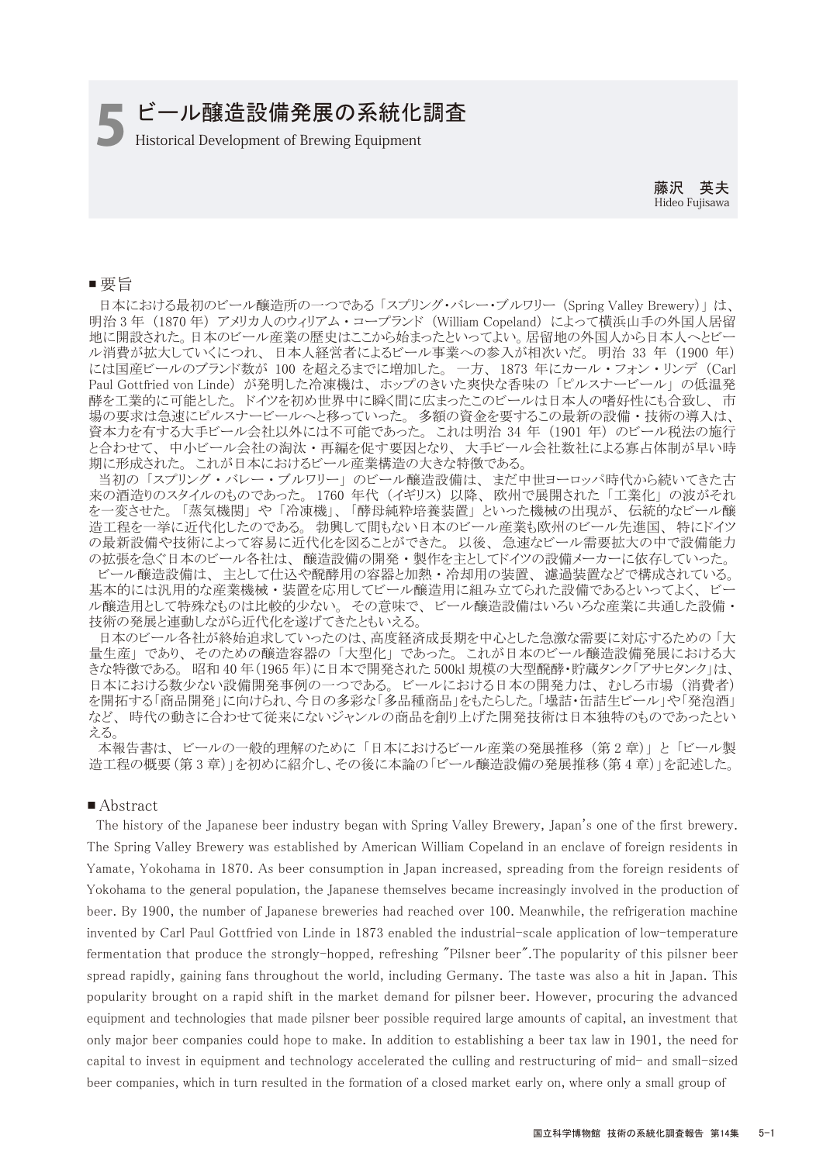# **■ ビール醸造設備発展の系統化調査**<br>■ Historical Development of Brewing Equipment

藤沢 英夫 Hideo Fujisawa

#### ■ 要旨

 日本における最初のビール醸造所の一つである 「スプリング・バレー・ブルワリー (Spring Valley Brewery)」 は、 明治 3 年 (1870 年) アメリカ人のウィリアム ・ コープランド (William Copeland) によって横浜山手の外国人居留 地に開設された。日本のビール産業の歴史はここから始まったといってよい。居留地の外国人から日本人へとビー ル消費が拡大していくにつれ、 日本人経営者によるビール事業への参入が相次いだ。 明治 33 年 (1900 年) には国産ビールのブランド数が 100 を超えるまでに増加した。一方、1873 年にカール・フォン・リンデ (Carl Paul Gottfried von Linde) が発明した冷凍機は、ホップのきいた爽快な香味の「ピルスナービール」の低温発 酵を工業的に可能とした。 ドイツを初め世界中に瞬く間に広まったこのビールは日本人の嗜好性にも合致し、 市 場の要求は急速にピルスナービールへと移っていった。 多額の資金を要するこの最新の設備 ・ 技術の導入は、 資本力を有する大手ビール会社以外には不可能であった。 これは明治 34 年 (1901 年) のビール税法の施行 と合わせて、 中小ビール会社の淘汰 ・ 再編を促す要因となり、 大手ビール会社数社による寡占体制が早い時 期に形成された。 これが日本におけるビール産業構造の大きな特徴である。

 当初の 「スプリング ・ バレー ・ ブルワリー」 のビール醸造設備は、 まだ中世ヨーロッパ時代から続いてきた古 来の酒造りのスタイルのものであった。 1760 年代 (イギリス) 以降、 欧州で展開された 「工業化」 の波がそれ を一変させた。 「蒸気機関」 や 「冷凍機」、 「酵母純粋培養装置」 といった機械の出現が、 伝統的なビール醸 造工程を一挙に近代化したのである。 勃興して間もない日本のビール産業も欧州のビール先進国、 特にドイツ の最新設備や技術によって容易に近代化を図ることができた。 以後、 急速なビール需要拡大の中で設備能力 の拡張を急ぐ日本のビール各社は、醸造設備の開発·製作を主としてドイツの設備メーカーに依存していった。

 ビール醸造設備は、 主として仕込や醗酵用の容器と加熱 ・ 冷却用の装置、 濾過装置などで構成されている。 基本的には汎用的な産業機械 ・ 装置を応用してビール醸造用に組み立てられた設備であるといってよく、 ビー ル醸造用として特殊なものは比較的少ない。 その意味で、 ビール醸造設備はいろいろな産業に共通した設備 ・ 技術の発展と連動しながら近代化を遂げてきたともいえる。

 日本のビール各社が終始追求していったのは、高度経済成長期を中心とした急激な需要に対応するための 「大 量生産」 であり、 そのための醸造容器の 「大型化」 であった。 これが日本のビール醸造設備発展における大 きな特徴である。 昭和 40 年(1965 年)に日本で開発された 500kl 規模の大型醗酵・貯蔵タンク「アサヒタンク」は、 日本における数少ない設備開発事例の一つである。 ビールにおける日本の開発力は、 むしろ市場 (消費者) を開拓する「商品開発」に向けられ、今日の多彩な「多品種商品」をもたらした。「壜詰・缶詰生ビール」や「発泡酒」 など、 時代の動きに合わせて従来にないジャンルの商品を創り上げた開発技術は日本独特のものであったとい える。

 本報告書は、 ビールの一般的理解のために 「日本におけるビール産業の発展推移 (第 2 章)」 と 「ビール製 造工程の概要(第 3 章)」を初めに紹介し、その後に本論の「ビール醸造設備の発展推移(第 4 章)」を記述した。

#### ■ Abstract

 The history of the Japanese beer industry began with Spring Valley Brewery, Japan's one of the first brewery. The Spring Valley Brewery was established by American William Copeland in an enclave of foreign residents in Yamate, Yokohama in 1870. As beer consumption in Japan increased, spreading from the foreign residents of Yokohama to the general population, the Japanese themselves became increasingly involved in the production of beer. By 1900, the number of Japanese breweries had reached over 100. Meanwhile, the refrigeration machine invented by Carl Paul Gottfried von Linde in 1873 enabled the industrial-scale application of low-temperature fermentation that produce the strongly-hopped, refreshing "Pilsner beer".The popularity of this pilsner beer spread rapidly, gaining fans throughout the world, including Germany. The taste was also a hit in Japan. This popularity brought on a rapid shift in the market demand for pilsner beer. However, procuring the advanced equipment and technologies that made pilsner beer possible required large amounts of capital, an investment that only major beer companies could hope to make. In addition to establishing a beer tax law in 1901, the need for capital to invest in equipment and technology accelerated the culling and restructuring of mid- and small-sized beer companies, which in turn resulted in the formation of a closed market early on, where only a small group of